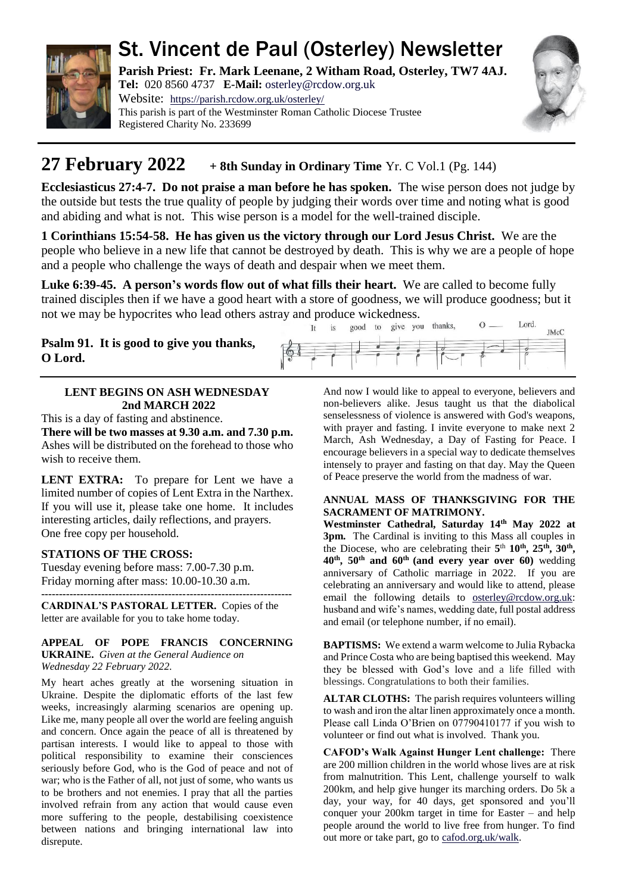

# St. Vincent de Paul (Osterley) Newsletter

**Parish Priest: Fr. Mark Leenane, 2 Witham Road, Osterley, TW7 4AJ. Tel:** 020 8560 4737 **E-Mail:** [osterley@rcdow.org.uk](mailto:osterley@rcdow.org.uk)

Website: <https://parish.rcdow.org.uk/osterley/> This parish is part of the Westminster Roman Catholic Diocese Trustee Registered Charity No. 233699



JMcC

## **27 February**  $2022 + 8$ th Sunday in Ordinary Time Yr. C Vol.1 (Pg. 144)

**Ecclesiasticus 27:4-7. Do not praise a man before he has spoken.** The wise person does not judge by the outside but tests the true quality of people by judging their words over time and noting what is good and abiding and what is not. This wise person is a model for the well-trained disciple.

**1 Corinthians 15:54-58. He has given us the victory through our Lord Jesus Christ.** We are the people who believe in a new life that cannot be destroyed by death. This is why we are a people of hope and a people who challenge the ways of death and despair when we meet them.

**Luke 6:39-45. A person's words flow out of what fills their heart.** We are called to become fully trained disciples then if we have a good heart with a store of goodness, we will produce goodness; but it not we may be hypocrites who lead others astray and produce wickedness.<br>It is good to give you thanks,  $\overline{0}$ . Lord.

It

### **Psalm 91. It is good to give you thanks, O Lord.**

### **LENT BEGINS ON ASH WEDNESDAY 2nd MARCH 2022**

This is a day of fasting and abstinence.

**There will be two masses at 9.30 a.m. and 7.30 p.m.** Ashes will be distributed on the forehead to those who wish to receive them.

LENT EXTRA: To prepare for Lent we have a limited number of copies of Lent Extra in the Narthex. If you will use it, please take one home. It includes interesting articles, daily reflections, and prayers. One free copy per household.

### **STATIONS OF THE CROSS:**

Tuesday evening before mass: 7.00-7.30 p.m. Friday morning after mass: 10.00-10.30 a.m.

**-----------------------------------------------------------------------**

**CARDINAL'S PASTORAL LETTER.** Copies of the letter are available for you to take home today.

#### **APPEAL OF POPE FRANCIS CONCERNING UKRAINE.** *Given at the General Audience on Wednesday 22 February 2022.*

My heart aches greatly at the worsening situation in Ukraine. Despite the diplomatic efforts of the last few weeks, increasingly alarming scenarios are opening up. Like me, many people all over the world are feeling anguish and concern. Once again the peace of all is threatened by partisan interests. I would like to appeal to those with political responsibility to examine their consciences seriously before God, who is the God of peace and not of war; who is the Father of all, not just of some, who wants us to be brothers and not enemies. I pray that all the parties involved refrain from any action that would cause even more suffering to the people, destabilising coexistence between nations and bringing international law into disrepute.

And now I would like to appeal to everyone, believers and non-believers alike. Jesus taught us that the diabolical senselessness of violence is answered with God's weapons, with prayer and fasting. I invite everyone to make next 2 March, Ash Wednesday, a Day of Fasting for Peace. I encourage believers in a special way to dedicate themselves intensely to prayer and fasting on that day. May the Queen of Peace preserve the world from the madness of war.

#### **ANNUAL MASS OF THANKSGIVING FOR THE SACRAMENT OF MATRIMONY.**

**Westminster Cathedral, Saturday 14th May 2022 at 3pm.** The Cardinal is inviting to this Mass all couples in the Diocese, who are celebrating their  $5<sup>th</sup> 10<sup>th</sup>$ ,  $25<sup>th</sup>$ ,  $30<sup>th</sup>$ , **40th, 50th and 60th (and every year over 60)** wedding anniversary of Catholic marriage in 2022. If you are celebrating an anniversary and would like to attend, please email the following details to [osterley@rcdow.org.uk:](mailto:osterley@rcdow.org.uk) husband and wife's names, wedding date, full postal address and email (or telephone number, if no email).

**BAPTISMS:** We extend a warm welcome to Julia Rybacka and Prince Costa who are being baptised this weekend. May they be blessed with God's love and a life filled with blessings. Congratulations to both their families.

**ALTAR CLOTHS:** The parish requires volunteers willing to wash and iron the altar linen approximately once a month. Please call Linda O'Brien on 07790410177 if you wish to volunteer or find out what is involved. Thank you.

**CAFOD's Walk Against Hunger Lent challenge:** There are 200 million children in the world whose lives are at risk from malnutrition. This Lent, challenge yourself to walk 200km, and help give hunger its marching orders. Do 5k a day, your way, for 40 days, get sponsored and you'll conquer your 200km target in time for Easter – and help people around the world to live free from hunger. To find out more or take part, go to [cafod.org.uk/walk.](https://walk.cafod.org.uk/)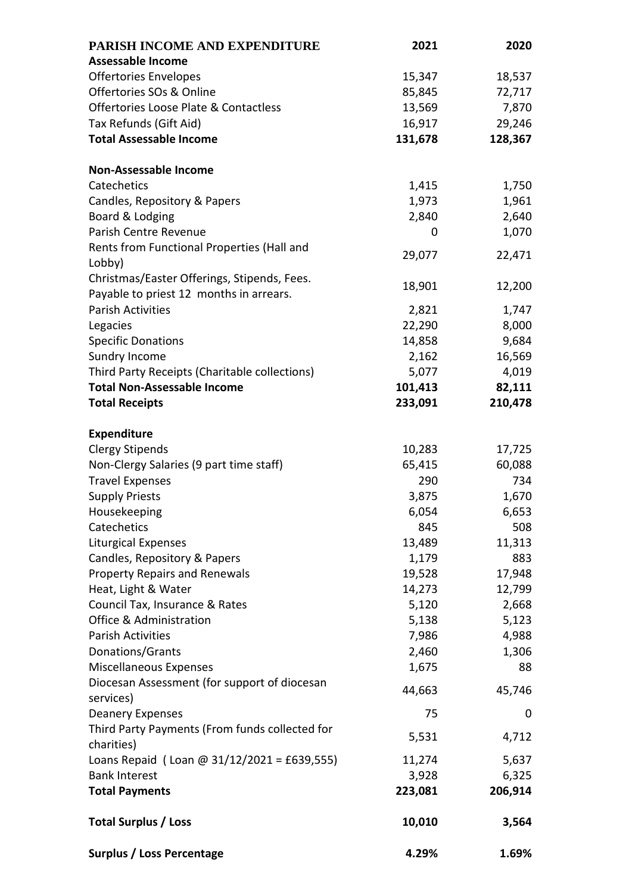| PARISH INCOME AND EXPENDITURE                  | 2021    | 2020    |
|------------------------------------------------|---------|---------|
| <b>Assessable Income</b>                       |         |         |
| <b>Offertories Envelopes</b>                   | 15,347  | 18,537  |
| Offertories SOs & Online                       | 85,845  | 72,717  |
| Offertories Loose Plate & Contactless          | 13,569  | 7,870   |
| Tax Refunds (Gift Aid)                         | 16,917  | 29,246  |
| <b>Total Assessable Income</b>                 | 131,678 | 128,367 |
|                                                |         |         |
| <b>Non-Assessable Income</b>                   |         |         |
| Catechetics                                    | 1,415   | 1,750   |
| Candles, Repository & Papers                   | 1,973   | 1,961   |
| Board & Lodging                                | 2,840   | 2,640   |
| Parish Centre Revenue                          | 0       | 1,070   |
| Rents from Functional Properties (Hall and     |         |         |
| Lobby)                                         | 29,077  | 22,471  |
| Christmas/Easter Offerings, Stipends, Fees.    |         |         |
| Payable to priest 12 months in arrears.        | 18,901  | 12,200  |
| <b>Parish Activities</b>                       | 2,821   | 1,747   |
| Legacies                                       | 22,290  | 8,000   |
| <b>Specific Donations</b>                      | 14,858  | 9,684   |
| Sundry Income                                  | 2,162   | 16,569  |
| Third Party Receipts (Charitable collections)  | 5,077   | 4,019   |
| <b>Total Non-Assessable Income</b>             | 101,413 | 82,111  |
| <b>Total Receipts</b>                          | 233,091 | 210,478 |
|                                                |         |         |
| <b>Expenditure</b>                             |         |         |
| <b>Clergy Stipends</b>                         | 10,283  | 17,725  |
| Non-Clergy Salaries (9 part time staff)        | 65,415  | 60,088  |
| <b>Travel Expenses</b>                         | 290     | 734     |
| <b>Supply Priests</b>                          | 3,875   | 1,670   |
| Housekeeping                                   | 6,054   | 6,653   |
| Catechetics                                    | 845     | 508     |
| <b>Liturgical Expenses</b>                     | 13,489  | 11,313  |
| Candles, Repository & Papers                   | 1,179   | 883     |
| <b>Property Repairs and Renewals</b>           | 19,528  | 17,948  |
| Heat, Light & Water                            | 14,273  | 12,799  |
| Council Tax, Insurance & Rates                 | 5,120   | 2,668   |
| Office & Administration                        | 5,138   | 5,123   |
| <b>Parish Activities</b>                       | 7,986   | 4,988   |
| Donations/Grants                               | 2,460   | 1,306   |
| <b>Miscellaneous Expenses</b>                  | 1,675   | 88      |
| Diocesan Assessment (for support of diocesan   |         |         |
| services)                                      | 44,663  | 45,746  |
| <b>Deanery Expenses</b>                        | 75      | 0       |
| Third Party Payments (From funds collected for |         |         |
| charities)                                     | 5,531   | 4,712   |
| Loans Repaid (Loan @ $31/12/2021 = £639,555$ ) | 11,274  | 5,637   |
| <b>Bank Interest</b>                           | 3,928   | 6,325   |
| <b>Total Payments</b>                          | 223,081 | 206,914 |
|                                                |         |         |
| <b>Total Surplus / Loss</b>                    | 10,010  | 3,564   |
|                                                |         |         |
| <b>Surplus / Loss Percentage</b>               | 4.29%   | 1.69%   |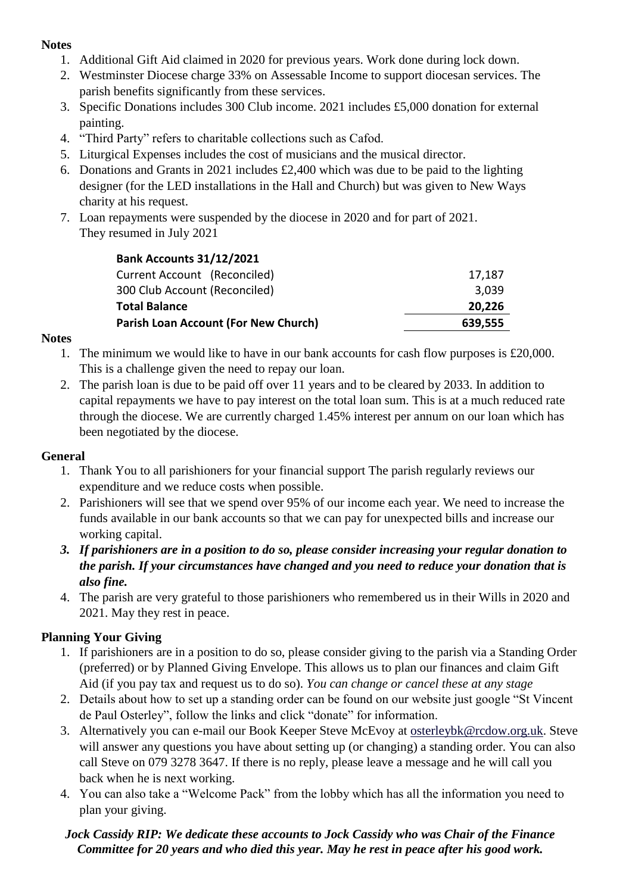### **Notes**

- 1. Additional Gift Aid claimed in 2020 for previous years. Work done during lock down.
- 2. Westminster Diocese charge 33% on Assessable Income to support diocesan services. The parish benefits significantly from these services.
- 3. Specific Donations includes 300 Club income. 2021 includes £5,000 donation for external painting.
- 4. "Third Party" refers to charitable collections such as Cafod.
- 5. Liturgical Expenses includes the cost of musicians and the musical director.
- 6. Donations and Grants in 2021 includes £2,400 which was due to be paid to the lighting designer (for the LED installations in the Hall and Church) but was given to New Ways charity at his request.
- 7. Loan repayments were suspended by the diocese in 2020 and for part of 2021. They resumed in July 2021

| <b>Bank Accounts 31/12/2021</b>             |         |  |  |
|---------------------------------------------|---------|--|--|
| Current Account (Reconciled)                | 17,187  |  |  |
| 300 Club Account (Reconciled)               | 3,039   |  |  |
| <b>Total Balance</b>                        | 20,226  |  |  |
| <b>Parish Loan Account (For New Church)</b> | 639,555 |  |  |
|                                             |         |  |  |

### **Notes**

- 1. The minimum we would like to have in our bank accounts for cash flow purposes is £20,000. This is a challenge given the need to repay our loan.
- 2. The parish loan is due to be paid off over 11 years and to be cleared by 2033. In addition to capital repayments we have to pay interest on the total loan sum. This is at a much reduced rate through the diocese. We are currently charged 1.45% interest per annum on our loan which has been negotiated by the diocese.

### **General**

- 1. Thank You to all parishioners for your financial support The parish regularly reviews our expenditure and we reduce costs when possible.
- 2. Parishioners will see that we spend over 95% of our income each year. We need to increase the funds available in our bank accounts so that we can pay for unexpected bills and increase our working capital.
- *3. If parishioners are in a position to do so, please consider increasing your regular donation to the parish. If your circumstances have changed and you need to reduce your donation that is also fine.*
- 4. The parish are very grateful to those parishioners who remembered us in their Wills in 2020 and 2021. May they rest in peace.

### **Planning Your Giving**

- 1. If parishioners are in a position to do so, please consider giving to the parish via a Standing Order (preferred) or by Planned Giving Envelope. This allows us to plan our finances and claim Gift Aid (if you pay tax and request us to do so). *You can change or cancel these at any stage*
- 2. Details about how to set up a standing order can be found on our website just google "St Vincent de Paul Osterley", follow the links and click "donate" for information.
- 3. Alternatively you can e-mail our Book Keeper Steve McEvoy at [osterleybk@rcdow.org.uk.](mailto:osterleybk@rcdow.org.uk) Steve will answer any questions you have about setting up (or changing) a standing order. You can also call Steve on 079 3278 3647. If there is no reply, please leave a message and he will call you back when he is next working.
- 4. You can also take a "Welcome Pack" from the lobby which has all the information you need to plan your giving.

### *Jock Cassidy RIP: We dedicate these accounts to Jock Cassidy who was Chair of the Finance Committee for 20 years and who died this year. May he rest in peace after his good work.*